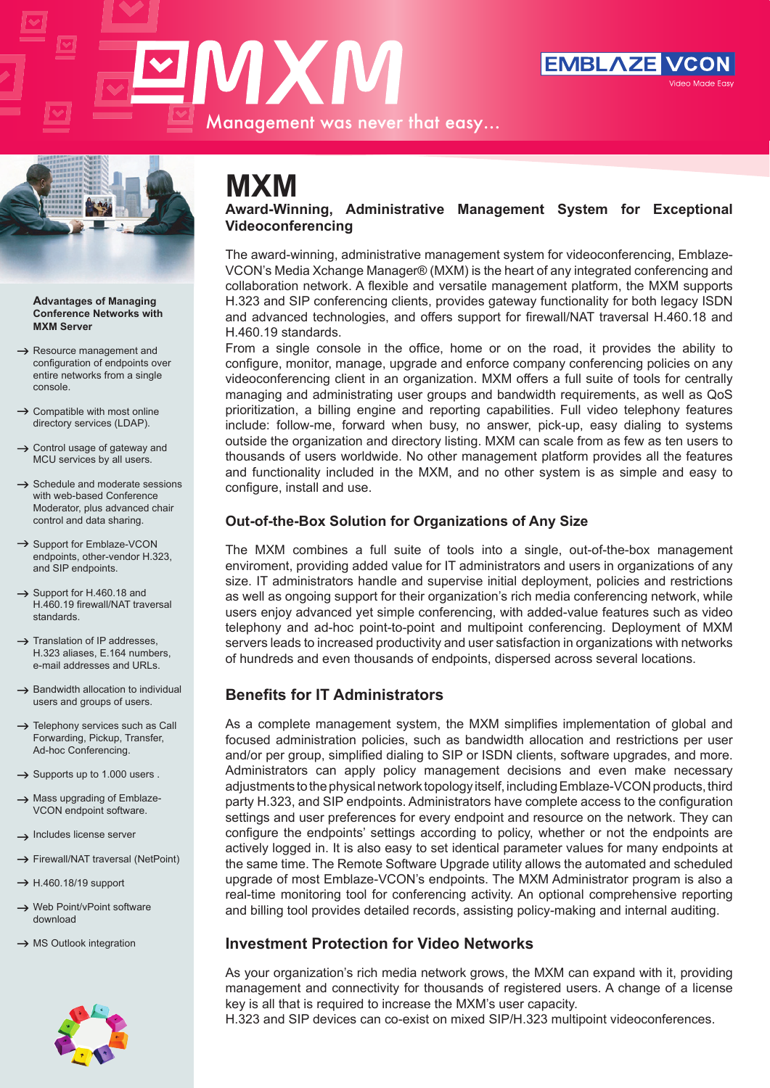# **MXM** Management was never that easy…





#### **Advantages of Managing Conference Networks with MXM Server**

- $\rightarrow$  Resource management and configuration of endpoints over entire networks from a single console.
- $\rightarrow$  Compatible with most online directory services (LDAP).
- $\rightarrow$  Control usage of gateway and MCU services by all users.
- $\rightarrow$  Schedule and moderate sessions with web-based Conference Moderator, plus advanced chair control and data sharing.
- $\rightarrow$  Support for Emblaze-VCON endpoints, other-vendor H.323, and SIP endpoints.
- $\rightarrow$  Support for H.460.18 and H.460.19 firewall/NAT traversal standards.
- $\rightarrow$  Translation of IP addresses, H.323 aliases, E.164 numbers, e-mail addresses and URLs.
- $\rightarrow$  Bandwidth allocation to individual users and groups of users.
- $\rightarrow$  Telephony services such as Call Forwarding, Pickup, Transfer, Ad-hoc Conferencing.
- $\rightarrow$  Supports up to 1.000 users.
- $\rightarrow$  Mass upgrading of Emblaze-VCON endpoint software.
- $\rightarrow$  Includes license server
- $\rightarrow$  Firewall/NAT traversal (NetPoint)
- $\rightarrow$  H.460.18/19 support
- → Web Point/vPoint software download
- $\rightarrow$  MS Outlook integration



### **MXM**

**Award-Winning, Administrative Management System for Exceptional Videoconferencing**

The award-winning, administrative management system for videoconferencing, Emblaze-VCON's Media Xchange Manager® (MXM) is the heart of any integrated conferencing and collaboration network. A flexible and versatile management platform, the MXM supports H.323 and SIP conferencing clients, provides gateway functionality for both legacy ISDN and advanced technologies, and offers support for firewall/NAT traversal H.460.18 and H.460.19 standards.

From a single console in the office, home or on the road, it provides the ability to configure, monitor, manage, upgrade and enforce company conferencing policies on any videoconferencing client in an organization. MXM offers a full suite of tools for centrally managing and administrating user groups and bandwidth requirements, as well as QoS prioritization, a billing engine and reporting capabilities. Full video telephony features include: follow-me, forward when busy, no answer, pick-up, easy dialing to systems outside the organization and directory listing. MXM can scale from as few as ten users to thousands of users worldwide. No other management platform provides all the features and functionality included in the MXM, and no other system is as simple and easy to configure, install and use.

#### **Out-of-the-Box Solution for Organizations of Any Size**

The MXM combines a full suite of tools into a single, out-of-the-box management enviroment, providing added value for IT administrators and users in organizations of any size. IT administrators handle and supervise initial deployment, policies and restrictions as well as ongoing support for their organization's rich media conferencing network, while users enjoy advanced yet simple conferencing, with added-value features such as video telephony and ad-hoc point-to-point and multipoint conferencing. Deployment of MXM servers leads to increased productivity and user satisfaction in organizations with networks of hundreds and even thousands of endpoints, dispersed across several locations.

#### **Benefits for IT Administrators**

As a complete management system, the MXM simplifies implementation of global and focused administration policies, such as bandwidth allocation and restrictions per user and/or per group, simplified dialing to SIP or ISDN clients, software upgrades, and more. Administrators can apply policy management decisions and even make necessary adjustments to the physical network topology itself, including Emblaze-VCON products, third party H.323, and SIP endpoints. Administrators have complete access to the configuration settings and user preferences for every endpoint and resource on the network. They can configure the endpoints' settings according to policy, whether or not the endpoints are actively logged in. It is also easy to set identical parameter values for many endpoints at the same time. The Remote Software Upgrade utility allows the automated and scheduled upgrade of most Emblaze-VCON's endpoints. The MXM Administrator program is also a real-time monitoring tool for conferencing activity. An optional comprehensive reporting and billing tool provides detailed records, assisting policy-making and internal auditing.

#### **Investment Protection for Video Networks**

As your organization's rich media network grows, the MXM can expand with it, providing management and connectivity for thousands of registered users. A change of a license key is all that is required to increase the MXM's user capacity.

H.323 and SIP devices can co-exist on mixed SIP/H.323 multipoint videoconferences.